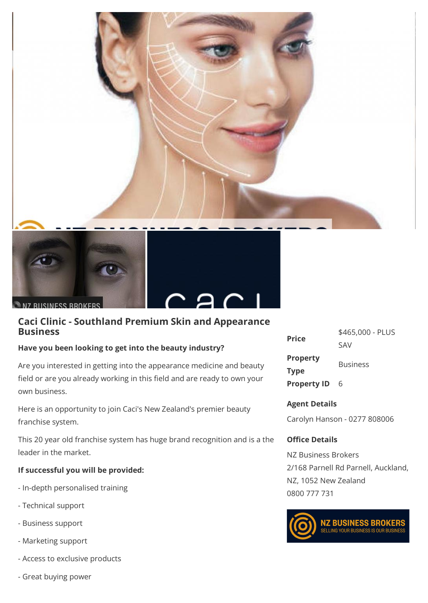



N7 RUSINESS BROKERS



## **Caci Clinic - Southland Premium Skin and Appearance Business**

### **Have you been looking to get into the beauty industry?**

Are you interested in getting into the appearance medicine and beauty field or are you already working in this field and are ready to own your own business.

Here is an opportunity to join Caci's New Zealand's premier beauty franchise system.

This 20 year old franchise system has huge brand recognition and is a the leader in the market.

## **If successful you will be provided:**

- In-depth personalised training
- Technical support
- Business support
- Marketing support
- Access to exclusive products
- Great buying power

| <b>Price</b>       | \$465,000 - PLUS |
|--------------------|------------------|
|                    | SAV              |
| <b>Property</b>    | <b>Business</b>  |
| <b>Type</b>        |                  |
| <b>Property ID</b> | 6                |

# **Agent Details**

Carolyn Hanson - 0277 808006

## **Office Details**

NZ Business Brokers 2/168 Parnell Rd Parnell, Auckland, NZ, 1052 New Zealand 0800 777 731



**NZ BUSINESS BROKERS**<br>SELLING YOUR BUSINESS IS OUR BUSINESS